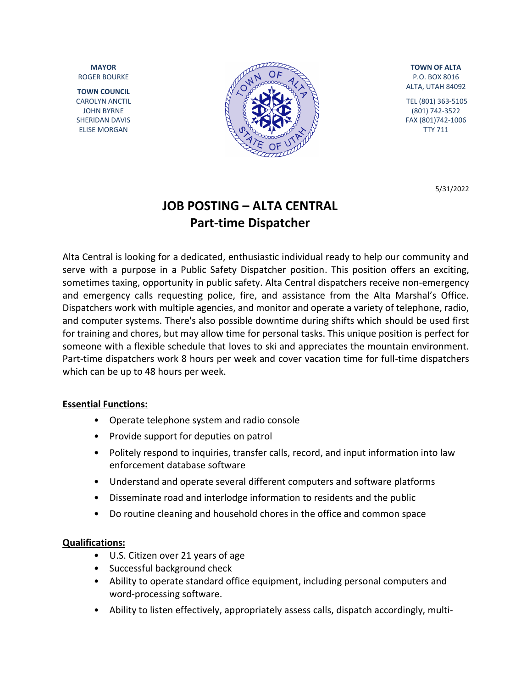**MAYOR** ROGER BOURKE

**TOWN COUNCIL** CAROLYN ANCTIL JOHN BYRNE SHERIDAN DAVIS ELISE MORGAN



**TOWN OF ALTA** P.O. BOX 8016 ALTA, UTAH 84092

TEL (801) 363-5105 (801) 742-3522 FAX (801)742-1006 TTY 711

5/31/2022

# **JOB POSTING – ALTA CENTRAL Part-time Dispatcher**

Alta Central is looking for a dedicated, enthusiastic individual ready to help our community and serve with a purpose in a Public Safety Dispatcher position. This position offers an exciting, sometimes taxing, opportunity in public safety. Alta Central dispatchers receive non-emergency and emergency calls requesting police, fire, and assistance from the Alta Marshal's Office. Dispatchers work with multiple agencies, and monitor and operate a variety of telephone, radio, and computer systems. There's also possible downtime during shifts which should be used first for training and chores, but may allow time for personal tasks. This unique position is perfect for someone with a flexible schedule that loves to ski and appreciates the mountain environment. Part-time dispatchers work 8 hours per week and cover vacation time for full-time dispatchers which can be up to 48 hours per week.

#### **Essential Functions:**

- Operate telephone system and radio console
- Provide support for deputies on patrol
- Politely respond to inquiries, transfer calls, record, and input information into law enforcement database software
- Understand and operate several different computers and software platforms
- Disseminate road and interlodge information to residents and the public
- Do routine cleaning and household chores in the office and common space

#### **Qualifications:**

- U.S. Citizen over 21 years of age
- Successful background check
- Ability to operate standard office equipment, including personal computers and word-processing software.
- Ability to listen effectively, appropriately assess calls, dispatch accordingly, multi-